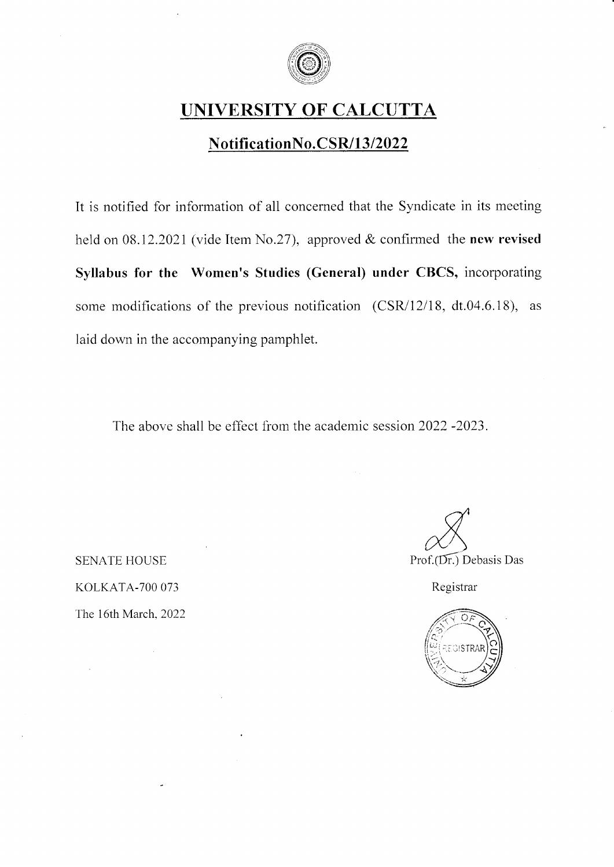

## UNIVERSITY OF CALCUTTA

### NotificationNo.CSR/13/2022

It is notified for information of all concemed that the Syndicate in its meeting held on 08.12.2021 (vide Item No.27), approved & confirmed the new revised Syllabus for the Women's Studies (General) under CBCS, incorporating some modifications of the previous notification  $(CSR/12/18, dt.04.6.18)$ , as laid down in the accompanying pamphlet.

The above shall be effect from the academic session 2022 -2023.

**SENATE HOUSE** KOLKATA-7OO 073 The 16th March.2022

d  $\frac{1}{\sqrt{2}}$ Prof.(Dr.) Debasis Das

Registrar

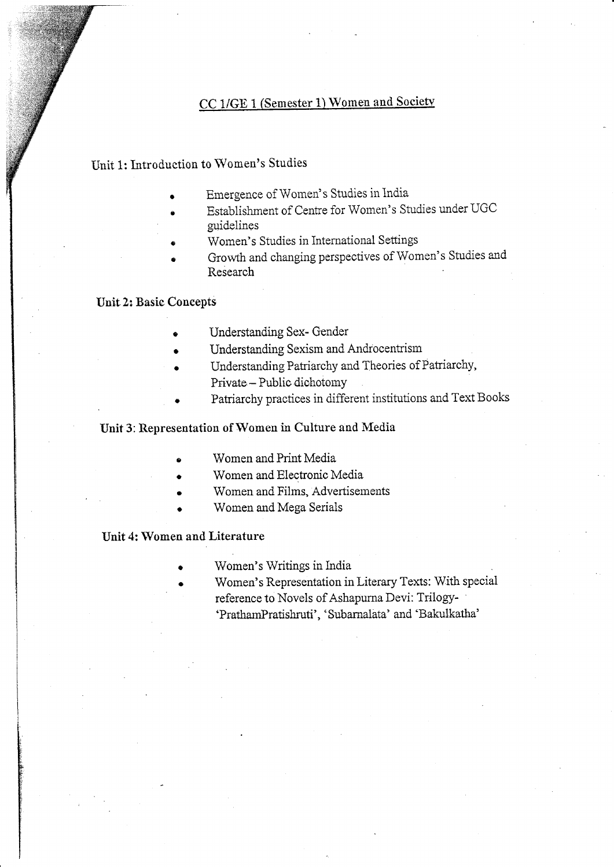### CC 1/GE 1 (Semester 1) Women and Society

Unit 1: Introduction to Women's Studies

- Emergence of Women's Studies in India
- Establishment of Centre for Women's Studies under UGC guidelines
- Women's Studies in International Settings
- Growth and changing perspectives of Women's Studies and Research

#### **Unit 2: Basic Concepts**

- Understanding Sex- Gender
- Understanding Sexism and Androcentrism
- Understanding Patriarchy and Theories of Patriarchy, Private - Public dichotomy
- Patriarchy practices in different institutions and Text Books

### Unit 3: Representation of Women in Culture and Media

- Women and Print Media
- Women and Electronic Media
- Women and Films, Advertisements
- Women and Mega Serials

### Unit 4: Women and Literature

- Women's Writings in India
- Women's Representation in Literary Texts: With special reference to Novels of Ashapurna Devi: Trilogy-'PrathamPratishruti', 'Subarnalata' and 'Bakulkatha'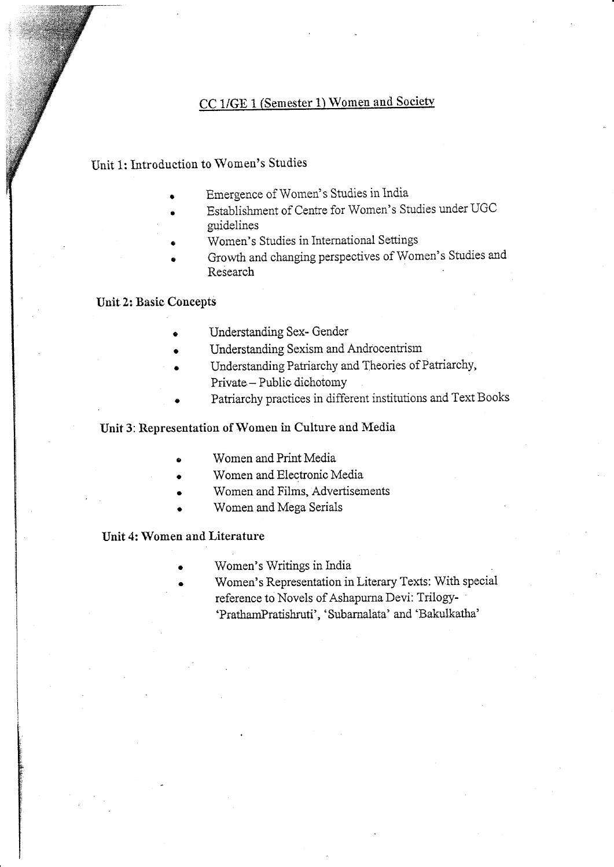### CC 1/GE 1 (Semester 1) Women and Society

#### **Init 1: Introduction to Women's Studies**

- Emergence of Women's Studies in India
- Establishment of Centre for Women's Studies under UGC guidelines
- Women's Studies in International Settings
- Growth and changing perspectives of Women's Studies and Research

#### **Unit 2: Basic Concepts**

- Understanding Sex- Gender
- Understanding Sexism and Androcentrism
- Understanding Patriarchy and Theories of Patriarchy, Private - Public dichotomy
- Patriarchy practices in different institutions and Text Books

### Unit 3: Representation of Women in Culture and Media

- Women and Print Media
- Women and Electronic Media
- Women and Films, Advertisements
- Women and Mega Serials

#### Unit 4: Women and Literature

- Women's Writings in India
- Women's Representation in Literary Texts: With special reference to Novels of Ashapurna Devi: Trilogy-'PrathamPratishruti', 'Subarnalata' and 'Bakulkatha'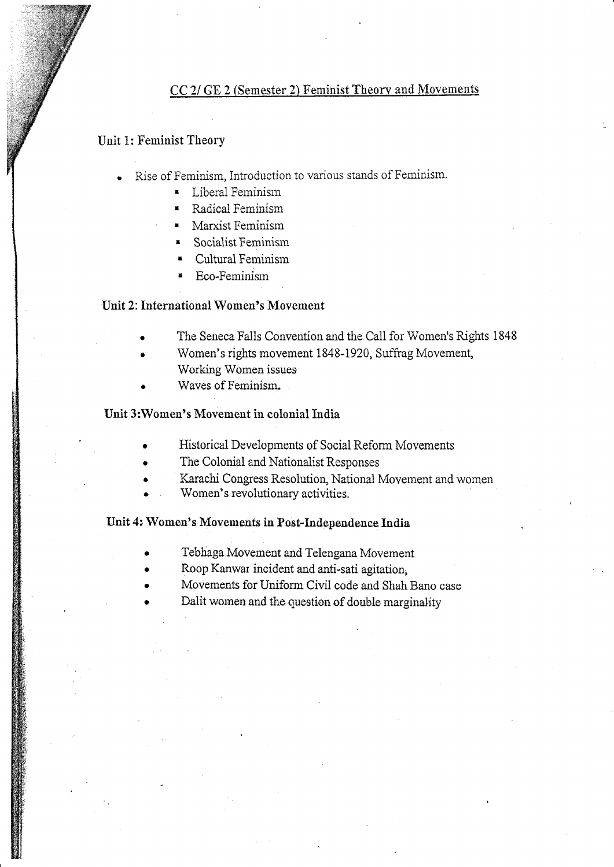### CC 2/ GE 2 (Semester 2) Feminist Theory and Movements

#### Unit 1: Feminist Theory

- Rise of Feminism, Introduction to various stands of Feminism.
	- **E** Liberal Feminism
	- Radical Feminism
	- Marxist Feminism
	- **Socialist Feminism**
	- **Cultural Feminism**
	- Eco-Feminism

#### Unit 2: International Women's Movement

- The Seneca Falls Convention and the Call for Women's Rights 1848
	- Women's rights movement 1848-1920, Suffrag Movement, Working Women issues
- Waves of Feminism.

#### Unit 3: Women's Movement in colonial India

- Historical Developments of Social Reform Movements
- The Colonial and Nationalist Responses
- Karachi Congress Resolution, National Movement and women
- Women's revolutionary activities.

### Unit 4: Women's Movements in Post-Independence India

- Tebhaga Movement and Telengana Movement
- Roop Kanwar incident and anti-sati agitation,
- Movements for Uniform Civil code and Shah Bano case
- Dalit women and the question of double marginality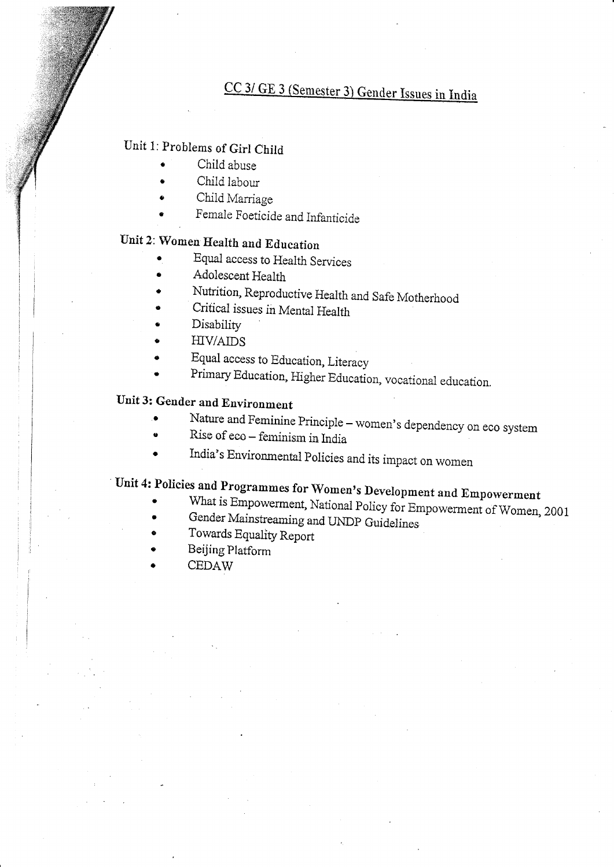# CC 3/ GE 3 (Semester 3) Gender Issues in India

## Unit 1: Problems of Girl Child

- Child abuse
- Child labour
- Child Marriage
- Female Foeticide and Infanticide

# Unit 2: Women Health and Education

- Equal access to Health Services
- Adolescent Health
- Nutrition, Reproductive Health and Safe Motherhood
- Critical issues in Mental Health
- Disability
- **HIV/AIDS**  $\bullet$
- Equal access to Education, Literacy
- Primary Education, Higher Education, vocational education.

## Unit 3: Gender and Environment

- Nature and Feminine Principle women's dependency on eco system  $\bullet$
- Rise of eco feminism in India
- India's Environmental Policies and its impact on women

# Unit 4: Policies and Programmes for Women's Development and Empowerment

- What is Empowerment, National Policy for Empowerment of Women, 2001
- Gender Mainstreaming and UNDP Guidelines  $\bullet$
- Towards Equality Report
- Beijing Platform
- **CEDAW**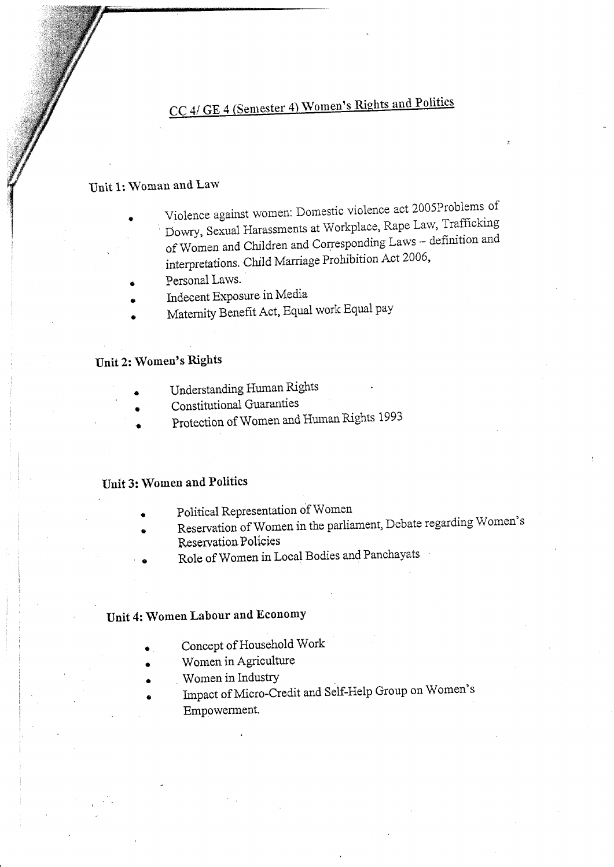# CC 4/ GE 4 (Semester 4) Women's Rights and Politics

### Unit 1: Woman and Law

Violence against women: Domestic violence act 2005Problems of Dowry, Sexual Harassments at Workplace, Rape Law, Trafficking of Women and Children and Corresponding Laws - definition and interpretations. Child Marriage Prohibition Act 2006,

- Personal Laws.
- Indecent Exposure in Media
- Maternity Benefit Act, Equal work Equal pay

### Unit 2: Women's Rights

- Understanding Human Rights
- Constitutional Guaranties
- Protection of Women and Human Rights 1993

### Unit 3: Women and Politics

- Political Representation of Women
- Reservation of Women in the parliament, Debate regarding Women's Reservation Policies
- Role of Women in Local Bodies and Panchayats

### Unit 4: Women Labour and Economy

- Concept of Household Work
- Women in Agriculture
- Women in Industry
- Impact of Micro-Credit and Self-Help Group on Women's Empowerment.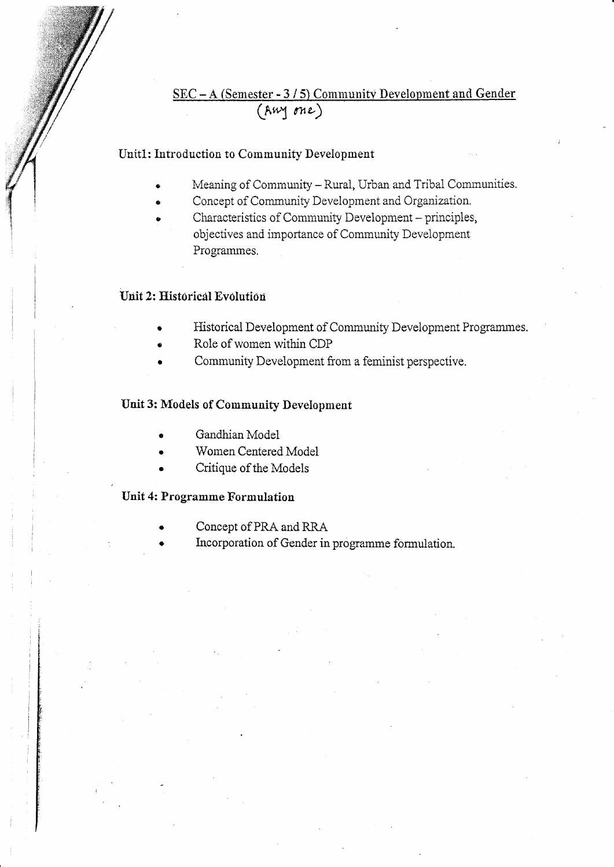### SEC - A (Semester - 3/5) Community Development and Gender  $(\overline{A}w$  one)

### Unit1: Introduction to Community Development

- Meaning of Community Rural, Urban and Tribal Communities.
- Concept of Community Development and Organization.
- Characteristics of Community Development principles, objectives and importance of Community Development Programmes.

#### Unit 2: Historical Evolution

- Historical Development of Community Development Programmes.
- Role of women within CDP
- Community Development from a feminist perspective.

#### Unit 3: Models of Community Development

- Gandhian Model
- Women Centered Model
- Critique of the Models

### Unit 4: Programme Formulation

- Concept of PRA and RRA
- Incorporation of Gender in programme formulation.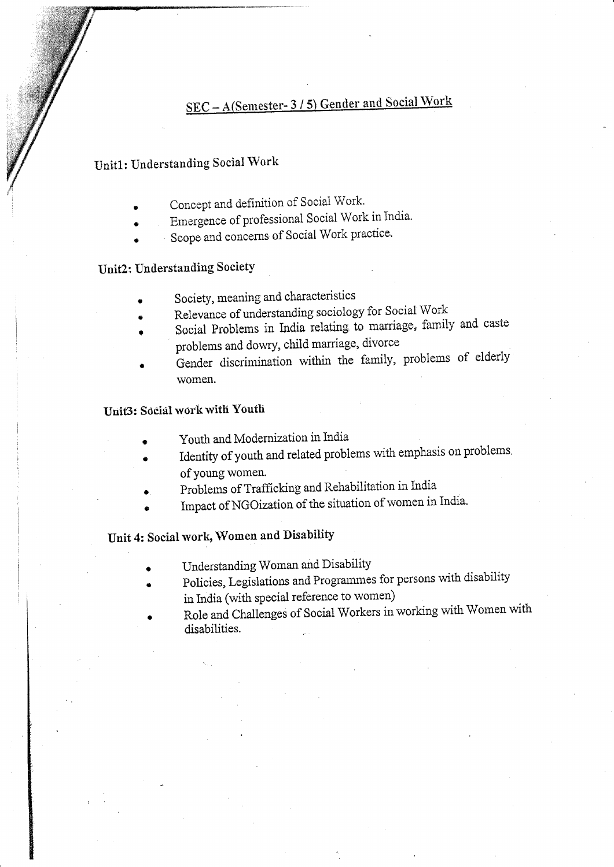# SEC - A(Semester-3/5) Gender and Social Work

### Unit1: Understanding Social Work

- Concept and definition of Social Work.
- Emergence of professional Social Work in India.
- Scope and concerns of Social Work practice.

### Unit2: Understanding Society

- Society, meaning and characteristics
- Relevance of understanding sociology for Social Work
- Social Problems in India relating to marriage, family and caste problems and dowry, child marriage, divorce
- Gender discrimination within the family, problems of elderly women.

### Unit3: Social work with Youth

- Youth and Modernization in India
- Identity of youth and related problems with emphasis on problems. of young women.
- Problems of Trafficking and Rehabilitation in India
- Impact of NGOization of the situation of women in India.

### Unit 4: Social work, Women and Disability

- Understanding Woman and Disability
- Policies, Legislations and Programmes for persons with disability in India (with special reference to women)
- Role and Challenges of Social Workers in working with Women with disabilities.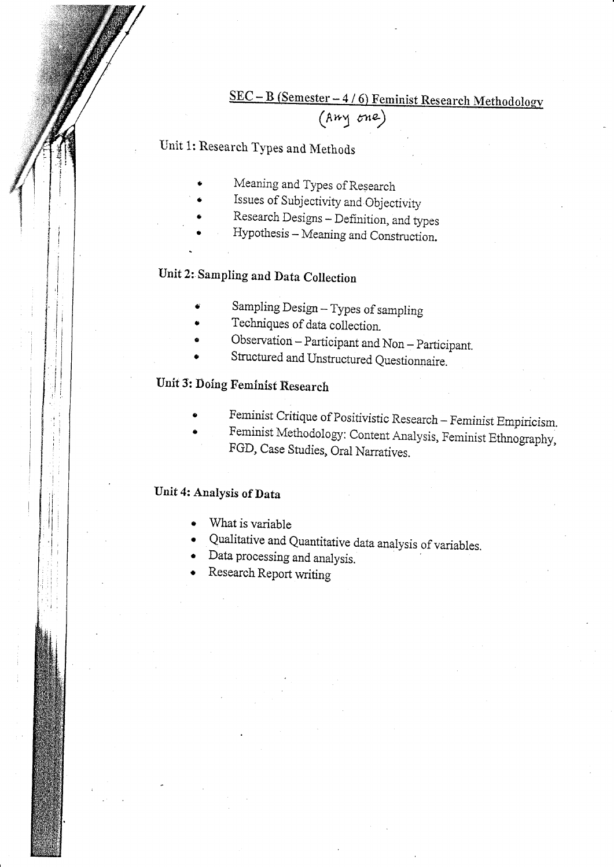### $\underline{\text{SEC}-\text{B}}$  (Semester - 4/6) Feminist Research Methodology (Amy one)

Unit 1: Research Types and Methods

- Meaning and Types of Research
- Issues of Subjectivity and Objectivity
- Research Designs Definition, and types
- Hypothesis Meaning and Construction.

# Unit 2: Sampling and Data Collection

- Sampling Design Types of sampling
- Techniques of data collection.
- Observation Participant and Non Participant.
- Structured and Unstructured Questionnaire.

# Unit 3: Doing Feminist Research

- Feminist Critique of Positivistic Research Feminist Empiricism.
- Feminist Methodology: Content Analysis, Feminist Ethnography, FGD, Case Studies, Oral Narratives.

### Unit 4: Analysis of Data

- What is variable
- Qualitative and Quantitative data analysis of variables.
- Data processing and analysis.
- Research Report writing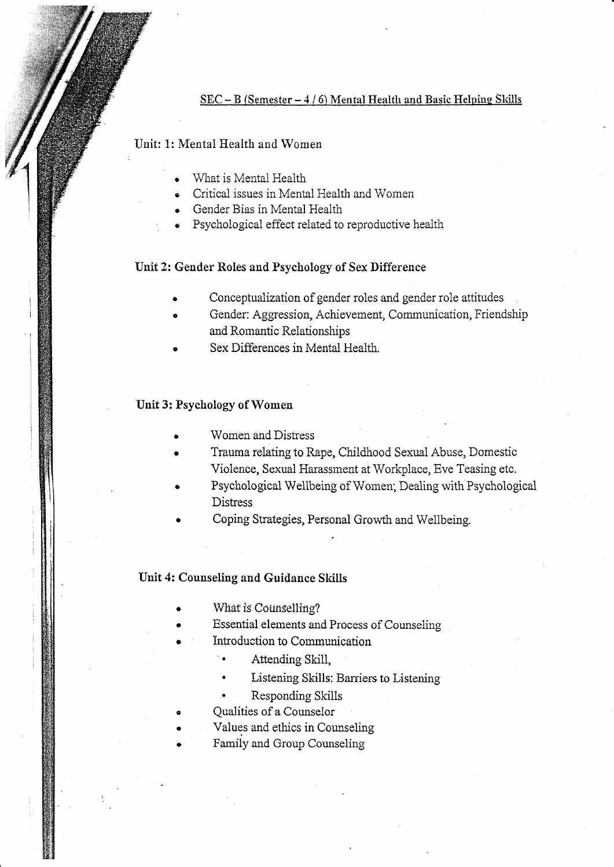#### SEC - B (Semester - 4/6) Mental Health and Basic Helping Skills

### Unit: 1: Mental Health and Women

- What is Mental Health
- Critical issues in Mental Health and Women  $\bullet$
- Gender Bias in Mental Health
- Psychological effect related to reproductive health

#### Unit 2: Gender Roles and Psychology of Sex Difference

- Conceptualization of gender roles and gender role attitudes
- Gender: Aggression, Achievement, Communication, Friendship and Romantic Relationships
- Sex Differences in Mental Health.

#### Unit 3: Psychology of Women

- Women and Distress
- Trauma relating to Rape, Childhood Sexual Abuse, Domestic Violence, Sexual Harassment at Workplace, Eve Teasing etc.
- Psychological Wellbeing of Women; Dealing with Psychological **Distress**
- Coping Strategies, Personal Growth and Wellbeing.

#### Unit 4: Counseling and Guidance Skills

- What is Counselling?
- Essential elements and Process of Counseling
- Introduction to Communication
	- Attending Skill,
	- Listening Skills: Barriers to Listening
	- Responding Skills
- **Oualities of a Counselor**
- Values and ethics in Counseling
- Family and Group Counseling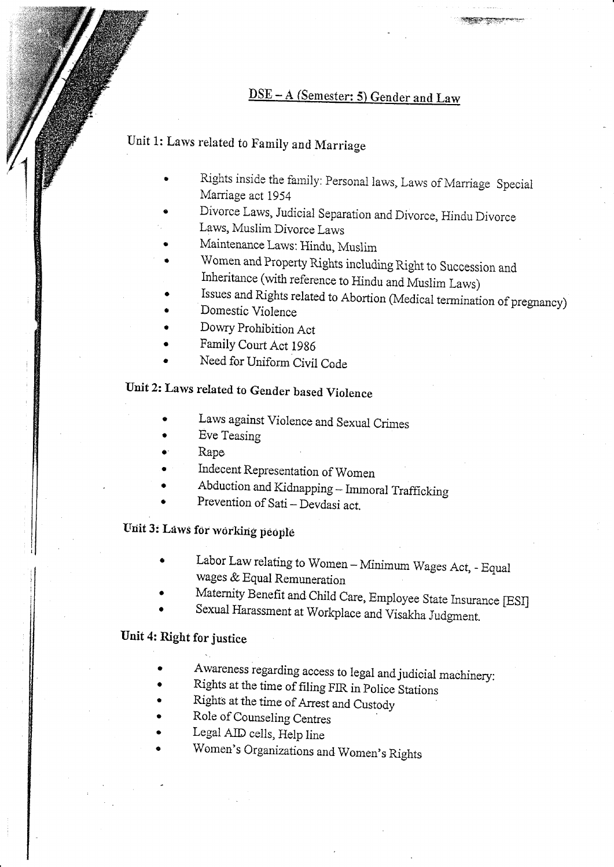# DSE-A (Semester: 5) Gender and Law

## Unit 1: Laws related to Family and Marriage

- Rights inside the family: Personal laws, Laws of Marriage Special Marriage act 1954
- Divorce Laws, Judicial Separation and Divorce, Hindu Divorce Laws, Muslim Divorce Laws
- Maintenance Laws: Hindu, Muslim
- Women and Property Rights including Right to Succession and Inheritance (with reference to Hindu and Muslim Laws)
- Issues and Rights related to Abortion (Medical termination of pregnancy)
- Domestic Violence
- Dowry Prohibition Act
- Family Court Act 1986
- Need for Uniform Civil Code

## Unit 2: Laws related to Gender based Violence

- Laws against Violence and Sexual Crimes
- Eve Teasing
- Rape
- Indecent Representation of Women
- Abduction and Kidnapping Immoral Trafficking
- Prevention of Sati Devdasi act.

## Unit 3: Laws for working people

- Labor Law relating to Women Minimum Wages Act, Equal wages & Equal Remuneration
- Maternity Benefit and Child Care, Employee State Insurance [ESI]
- Sexual Harassment at Workplace and Visakha Judgment.

### Unit 4: Right for justice

- Awareness regarding access to legal and judicial machinery:
- Rights at the time of filing FIR in Police Stations
- Rights at the time of Arrest and Custody
- Role of Counseling Centres
- Legal AID cells, Help line
- Women's Organizations and Women's Rights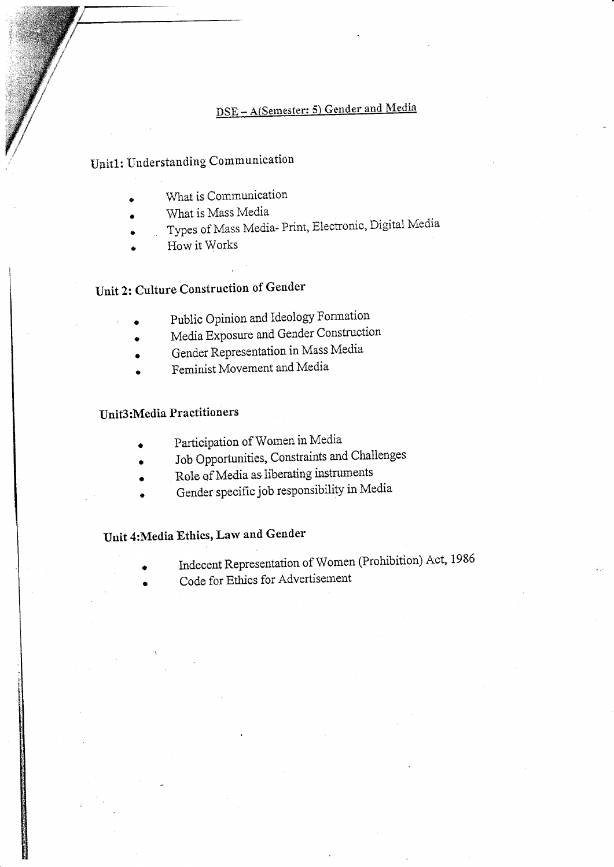## DSE-A(Semester: 5) Gender and Media

# Unit1: Understanding Communication

- What is Communication
- What is Mass Media
- Types of Mass Media- Print, Electronic, Digital Media
- How it Works

# Unit 2: Culture Construction of Gender

- Public Opinion and Ideology Formation
- Media Exposure and Gender Construction
- Gender Representation in Mass Media
- Feminist Movement and Media

### **Unit3:Media Practitioners**

- Participation of Women in Media
- Job Opportunities, Constraints and Challenges
- Role of Media as liberating instruments
- Gender specific job responsibility in Media

### Unit 4: Media Ethics, Law and Gender

- Indecent Representation of Women (Prohibition) Act, 1986
- Code for Ethics for Advertisement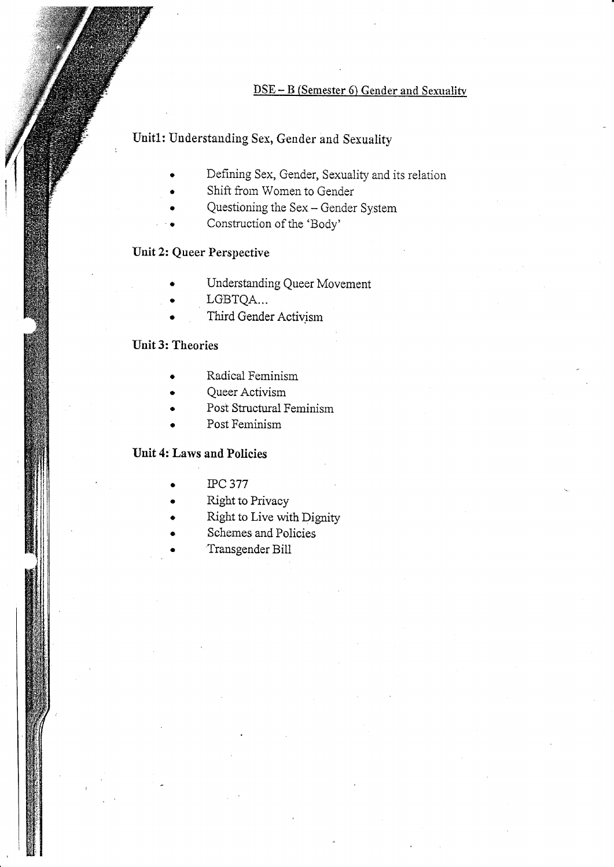#### $\overline{\text{DSE}-\text{B}}$  (Semester 6) Gender and Sexuality

### Unit1: Understanding Sex, Gender and Sexuality

- Defining Sex, Gender, Sexuality and its relation
- Shift from Women to Gender
- Questioning the Sex Gender System
- Construction of the 'Body'

### Unit 2: Queer Perspective

- Understanding Queer Movement
- LGBTQA...
- Third Gender Activism

### Unit 3: Theories

- Radical Feminism
- Queer Activism
- Post Structural Feminism
- Post Feminism

### Unit 4: Laws and Policies

- **IPC 377**
- Right to Privacy
- Right to Live with Dignity
- Schemes and Policies
- Transgender Bill